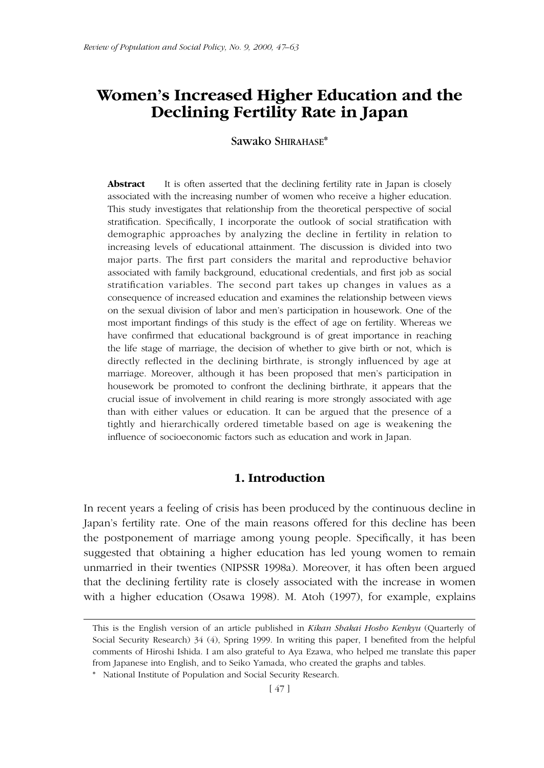# **Women's Increased Higher Education and the Declining Fertility Rate in Japan**

Sawako SHIRAHASE\*

**Abstract** It is often asserted that the declining fertility rate in Japan is closely associated with the increasing number of women who receive a higher education. This study investigates that relationship from the theoretical perspective of social stratification. Specifically, I incorporate the outlook of social stratification with demographic approaches by analyzing the decline in fertility in relation to increasing levels of educational attainment. The discussion is divided into two major parts. The first part considers the marital and reproductive behavior associated with family background, educational credentials, and first job as social stratification variables. The second part takes up changes in values as a consequence of increased education and examines the relationship between views on the sexual division of labor and men's participation in housework. One of the most important findings of this study is the effect of age on fertility. Whereas we have confirmed that educational background is of great importance in reaching the life stage of marriage, the decision of whether to give birth or not, which is directly reflected in the declining birthrate, is strongly influenced by age at marriage. Moreover, although it has been proposed that men's participation in housework be promoted to confront the declining birthrate, it appears that the crucial issue of involvement in child rearing is more strongly associated with age than with either values or education. It can be argued that the presence of a tightly and hierarchically ordered timetable based on age is weakening the influence of socioeconomic factors such as education and work in Japan.

## **1. Introduction**

In recent years a feeling of crisis has been produced by the continuous decline in Japan's fertility rate. One of the main reasons offered for this decline has been the postponement of marriage among young people. Specifically, it has been suggested that obtaining a higher education has led young women to remain unmarried in their twenties (NIPSSR 1998a). Moreover, it has often been argued that the declining fertility rate is closely associated with the increase in women with a higher education (Osawa 1998). M. Atoh (1997), for example, explains

This is the English version of an article published in *Kikan Shakai Hosho Kenkyu* (Quarterly of Social Security Research) 34 (4), Spring 1999. In writing this paper, I benefited from the helpful comments of Hiroshi Ishida. I am also grateful to Aya Ezawa, who helped me translate this paper from Japanese into English, and to Seiko Yamada, who created the graphs and tables.

<sup>\*</sup> National Institute of Population and Social Security Research.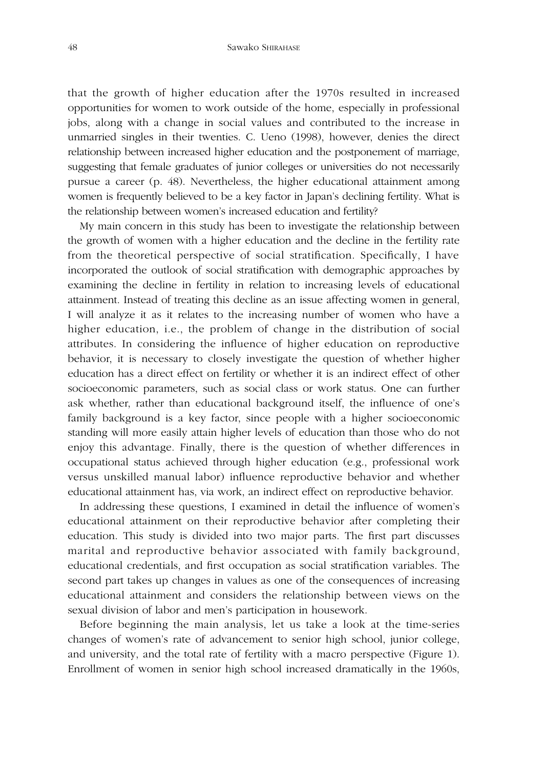that the growth of higher education after the 1970s resulted in increased opportunities for women to work outside of the home, especially in professional jobs, along with a change in social values and contributed to the increase in unmarried singles in their twenties. C. Ueno (1998), however, denies the direct relationship between increased higher education and the postponement of marriage, suggesting that female graduates of junior colleges or universities do not necessarily pursue a career (p. 48). Nevertheless, the higher educational attainment among women is frequently believed to be a key factor in Japan's declining fertility. What is the relationship between women's increased education and fertility?

My main concern in this study has been to investigate the relationship between the growth of women with a higher education and the decline in the fertility rate from the theoretical perspective of social stratification. Specifically, I have incorporated the outlook of social stratification with demographic approaches by examining the decline in fertility in relation to increasing levels of educational attainment. Instead of treating this decline as an issue affecting women in general, I will analyze it as it relates to the increasing number of women who have a higher education, i.e., the problem of change in the distribution of social attributes. In considering the influence of higher education on reproductive behavior, it is necessary to closely investigate the question of whether higher education has a direct effect on fertility or whether it is an indirect effect of other socioeconomic parameters, such as social class or work status. One can further ask whether, rather than educational background itself, the influence of one's family background is a key factor, since people with a higher socioeconomic standing will more easily attain higher levels of education than those who do not enjoy this advantage. Finally, there is the question of whether differences in occupational status achieved through higher education (e.g., professional work versus unskilled manual labor) influence reproductive behavior and whether educational attainment has, via work, an indirect effect on reproductive behavior.

In addressing these questions, I examined in detail the influence of women's educational attainment on their reproductive behavior after completing their education. This study is divided into two major parts. The first part discusses marital and reproductive behavior associated with family background, educational credentials, and first occupation as social stratification variables. The second part takes up changes in values as one of the consequences of increasing educational attainment and considers the relationship between views on the sexual division of labor and men's participation in housework.

Before beginning the main analysis, let us take a look at the time-series changes of women's rate of advancement to senior high school, junior college, and university, and the total rate of fertility with a macro perspective (Figure 1). Enrollment of women in senior high school increased dramatically in the 1960s,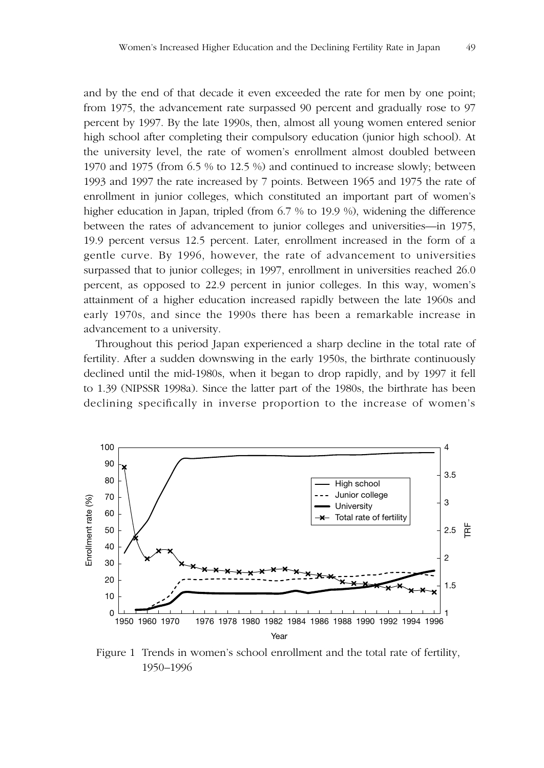and by the end of that decade it even exceeded the rate for men by one point; from 1975, the advancement rate surpassed 90 percent and gradually rose to 97 percent by 1997. By the late 1990s, then, almost all young women entered senior high school after completing their compulsory education (junior high school). At the university level, the rate of women's enrollment almost doubled between 1970 and 1975 (from 6.5 % to 12.5 %) and continued to increase slowly; between 1993 and 1997 the rate increased by 7 points. Between 1965 and 1975 the rate of enrollment in junior colleges, which constituted an important part of women's higher education in Japan, tripled (from 6.7 % to 19.9 %), widening the difference between the rates of advancement to junior colleges and universities—in 1975, 19.9 percent versus 12.5 percent. Later, enrollment increased in the form of a gentle curve. By 1996, however, the rate of advancement to universities surpassed that to junior colleges; in 1997, enrollment in universities reached 26.0 percent, as opposed to 22.9 percent in junior colleges. In this way, women's attainment of a higher education increased rapidly between the late 1960s and early 1970s, and since the 1990s there has been a remarkable increase in advancement to a university.

Throughout this period Japan experienced a sharp decline in the total rate of fertility. After a sudden downswing in the early 1950s, the birthrate continuously declined until the mid-1980s, when it began to drop rapidly, and by 1997 it fell to 1.39 (NIPSSR 1998a). Since the latter part of the 1980s, the birthrate has been declining specifically in inverse proportion to the increase of women's



Figure 1 Trends in women's school enrollment and the total rate of fertility, 1950–1996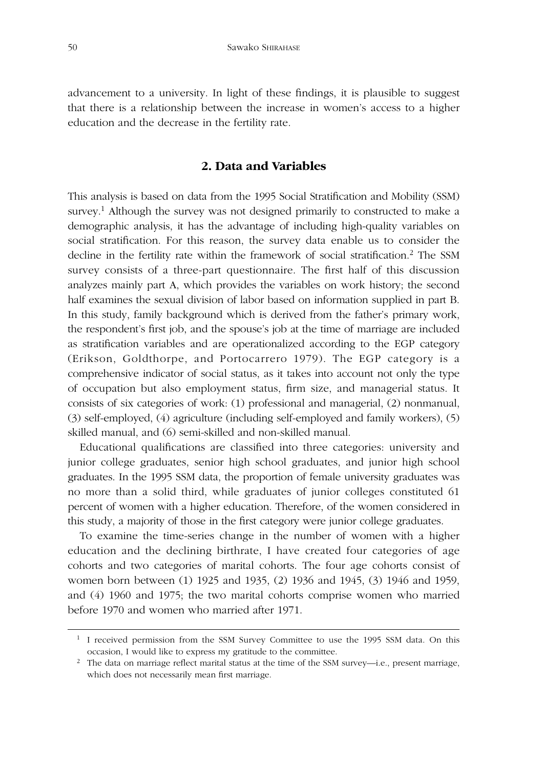advancement to a university. In light of these findings, it is plausible to suggest that there is a relationship between the increase in women's access to a higher education and the decrease in the fertility rate.

## **2. Data and Variables**

This analysis is based on data from the 1995 Social Stratification and Mobility (SSM) survey.<sup>1</sup> Although the survey was not designed primarily to constructed to make a demographic analysis, it has the advantage of including high-quality variables on social stratification. For this reason, the survey data enable us to consider the decline in the fertility rate within the framework of social stratification.<sup>2</sup> The SSM survey consists of a three-part questionnaire. The first half of this discussion analyzes mainly part A, which provides the variables on work history; the second half examines the sexual division of labor based on information supplied in part B. In this study, family background which is derived from the father's primary work, the respondent's first job, and the spouse's job at the time of marriage are included as stratification variables and are operationalized according to the EGP category (Erikson, Goldthorpe, and Portocarrero 1979). The EGP category is a comprehensive indicator of social status, as it takes into account not only the type of occupation but also employment status, firm size, and managerial status. It consists of six categories of work: (1) professional and managerial, (2) nonmanual, (3) self-employed, (4) agriculture (including self-employed and family workers), (5) skilled manual, and (6) semi-skilled and non-skilled manual.

Educational qualifications are classified into three categories: university and junior college graduates, senior high school graduates, and junior high school graduates. In the 1995 SSM data, the proportion of female university graduates was no more than a solid third, while graduates of junior colleges constituted 61 percent of women with a higher education. Therefore, of the women considered in this study, a majority of those in the first category were junior college graduates.

To examine the time-series change in the number of women with a higher education and the declining birthrate, I have created four categories of age cohorts and two categories of marital cohorts. The four age cohorts consist of women born between (1) 1925 and 1935, (2) 1936 and 1945, (3) 1946 and 1959, and (4) 1960 and 1975; the two marital cohorts comprise women who married before 1970 and women who married after 1971.

<sup>&</sup>lt;sup>1</sup> I received permission from the SSM Survey Committee to use the 1995 SSM data. On this occasion, I would like to express my gratitude to the committee.

<sup>&</sup>lt;sup>2</sup> The data on marriage reflect marital status at the time of the SSM survey—i.e., present marriage, which does not necessarily mean first marriage.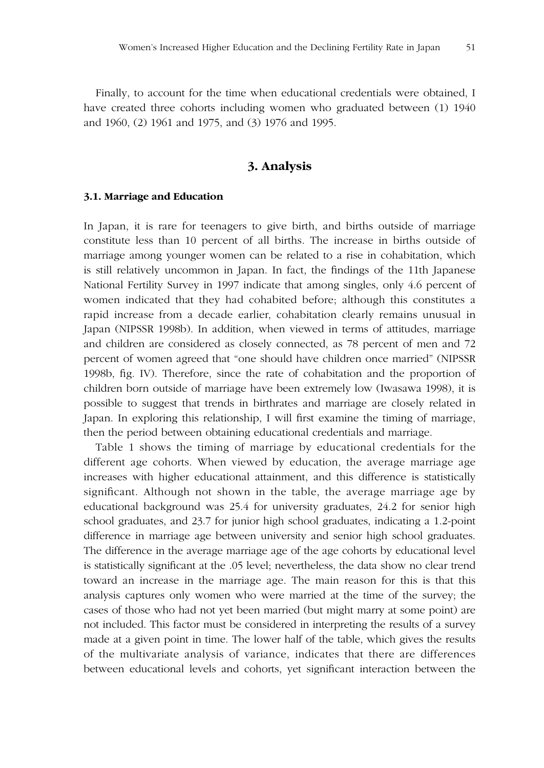Finally, to account for the time when educational credentials were obtained, I have created three cohorts including women who graduated between (1) 1940 and 1960, (2) 1961 and 1975, and (3) 1976 and 1995.

## **3. Analysis**

#### **3.1. Marriage and Education**

In Japan, it is rare for teenagers to give birth, and births outside of marriage constitute less than 10 percent of all births. The increase in births outside of marriage among younger women can be related to a rise in cohabitation, which is still relatively uncommon in Japan. In fact, the findings of the 11th Japanese National Fertility Survey in 1997 indicate that among singles, only 4.6 percent of women indicated that they had cohabited before; although this constitutes a rapid increase from a decade earlier, cohabitation clearly remains unusual in Japan (NIPSSR 1998b). In addition, when viewed in terms of attitudes, marriage and children are considered as closely connected, as 78 percent of men and 72 percent of women agreed that "one should have children once married" (NIPSSR 1998b, fig. IV). Therefore, since the rate of cohabitation and the proportion of children born outside of marriage have been extremely low (Iwasawa 1998), it is possible to suggest that trends in birthrates and marriage are closely related in Japan. In exploring this relationship, I will first examine the timing of marriage, then the period between obtaining educational credentials and marriage.

Table 1 shows the timing of marriage by educational credentials for the different age cohorts. When viewed by education, the average marriage age increases with higher educational attainment, and this difference is statistically significant. Although not shown in the table, the average marriage age by educational background was 25.4 for university graduates, 24.2 for senior high school graduates, and 23.7 for junior high school graduates, indicating a 1.2-point difference in marriage age between university and senior high school graduates. The difference in the average marriage age of the age cohorts by educational level is statistically significant at the .05 level; nevertheless, the data show no clear trend toward an increase in the marriage age. The main reason for this is that this analysis captures only women who were married at the time of the survey; the cases of those who had not yet been married (but might marry at some point) are not included. This factor must be considered in interpreting the results of a survey made at a given point in time. The lower half of the table, which gives the results of the multivariate analysis of variance, indicates that there are differences between educational levels and cohorts, yet significant interaction between the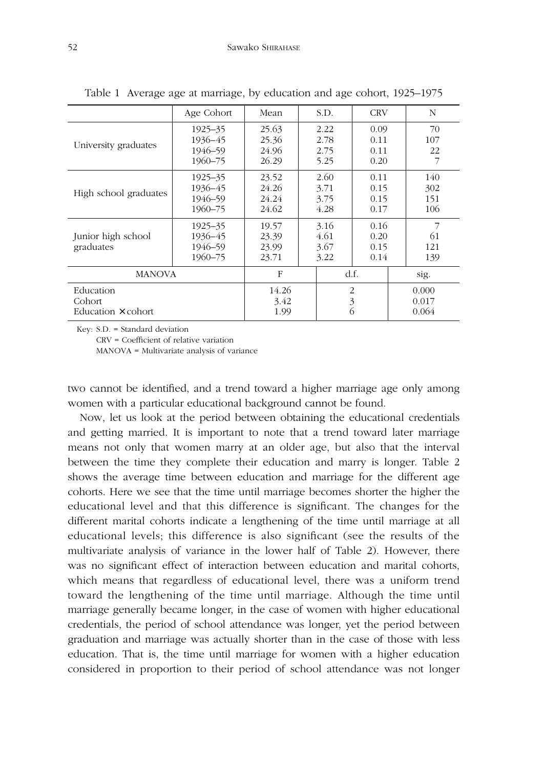|                                                  | Age Cohort                                   | Mean                             | S.D.                         | <b>CRV</b>                   | N                        |
|--------------------------------------------------|----------------------------------------------|----------------------------------|------------------------------|------------------------------|--------------------------|
| University graduates                             | $1925 - 35$<br>1936–45<br>1946-59<br>1960-75 | 25.63<br>25.36<br>24.96<br>26.29 | 2.22<br>2.78<br>2.75<br>5.25 | 0.09<br>0.11<br>0.11<br>0.20 | 70<br>107<br>22<br>7     |
| High school graduates                            | 1925–35<br>1936-45<br>1946-59<br>1960-75     | 23.52<br>24.26<br>24.24<br>24.62 | 2.60<br>3.71<br>3.75<br>4.28 | 0.11<br>0.15<br>0.15<br>0.17 | 140<br>302<br>151<br>106 |
| Junior high school<br>graduates                  | 1925–35<br>1936–45<br>1946-59<br>1960-75     | 19.57<br>23.39<br>23.99<br>23.71 | 3.16<br>4.61<br>3.67<br>3.22 | 0.16<br>0.20<br>0.15<br>0.14 | 7<br>61<br>121<br>139    |
| <b>MANOVA</b>                                    |                                              | F                                |                              | d.f.                         | sig.                     |
| Education<br>Cohort<br>Education $\times$ cohort |                                              | 14.26<br>3.42<br>1.99            |                              | 2<br>$\mathfrak{Z}$<br>6     | 0.000<br>0.017<br>0.064  |

Table 1 Average age at marriage, by education and age cohort, 1925–1975

Key: S.D. = Standard deviation

CRV = Coefficient of relative variation

MANOVA = Multivariate analysis of variance

two cannot be identified, and a trend toward a higher marriage age only among women with a particular educational background cannot be found.

Now, let us look at the period between obtaining the educational credentials and getting married. It is important to note that a trend toward later marriage means not only that women marry at an older age, but also that the interval between the time they complete their education and marry is longer. Table 2 shows the average time between education and marriage for the different age cohorts. Here we see that the time until marriage becomes shorter the higher the educational level and that this difference is significant. The changes for the different marital cohorts indicate a lengthening of the time until marriage at all educational levels; this difference is also significant (see the results of the multivariate analysis of variance in the lower half of Table 2). However, there was no significant effect of interaction between education and marital cohorts, which means that regardless of educational level, there was a uniform trend toward the lengthening of the time until marriage. Although the time until marriage generally became longer, in the case of women with higher educational credentials, the period of school attendance was longer, yet the period between graduation and marriage was actually shorter than in the case of those with less education. That is, the time until marriage for women with a higher education considered in proportion to their period of school attendance was not longer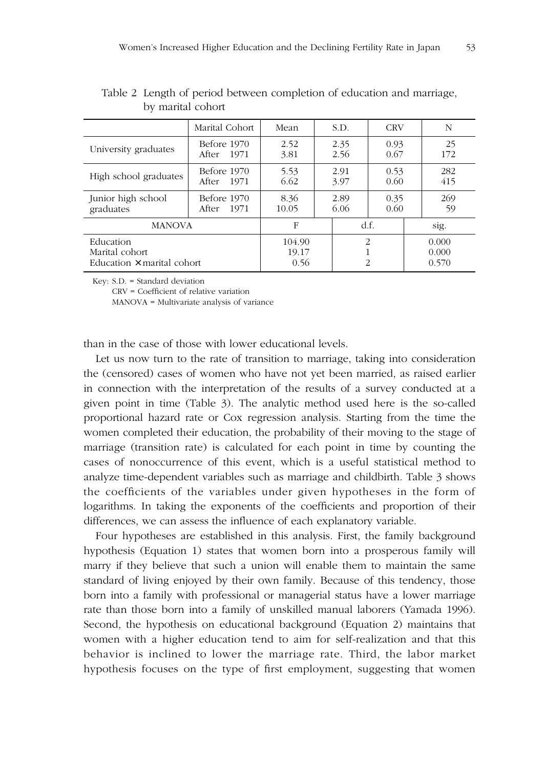|                                                                  | Marital Cohort            | Mean                    |  | S.D.                            | <b>CRV</b>   |  | N                       |
|------------------------------------------------------------------|---------------------------|-------------------------|--|---------------------------------|--------------|--|-------------------------|
| University graduates                                             | Before 1970<br>After 1971 | 2.52<br>3.81            |  | 2.35<br>2.56                    | 0.93<br>0.67 |  | 25<br>172               |
| High school graduates                                            | Before 1970<br>After 1971 | 5.53<br>6.62            |  | 2.91<br>3.97                    | 0.53<br>0.60 |  | 282<br>415              |
| Junior high school<br>graduates                                  | Before 1970<br>After 1971 | 8.36<br>10.05           |  | 2.89<br>6.06                    | 0.35<br>0.60 |  | 269<br>59               |
| <b>MANOVA</b>                                                    |                           | F                       |  |                                 | df.          |  | sig.                    |
| Education<br>Marital cohort<br>Education $\times$ marital cohort |                           | 104.90<br>19.17<br>0.56 |  | $\mathcal{P}$<br>$\overline{2}$ |              |  | 0.000<br>0.000<br>0.570 |

Table 2 Length of period between completion of education and marriage, by marital cohort

Key: S.D. = Standard deviation

CRV = Coefficient of relative variation

MANOVA = Multivariate analysis of variance

than in the case of those with lower educational levels.

Let us now turn to the rate of transition to marriage, taking into consideration the (censored) cases of women who have not yet been married, as raised earlier in connection with the interpretation of the results of a survey conducted at a given point in time (Table 3). The analytic method used here is the so-called proportional hazard rate or Cox regression analysis. Starting from the time the women completed their education, the probability of their moving to the stage of marriage (transition rate) is calculated for each point in time by counting the cases of nonoccurrence of this event, which is a useful statistical method to analyze time-dependent variables such as marriage and childbirth. Table 3 shows the coefficients of the variables under given hypotheses in the form of logarithms. In taking the exponents of the coefficients and proportion of their differences, we can assess the influence of each explanatory variable.

Four hypotheses are established in this analysis. First, the family background hypothesis (Equation 1) states that women born into a prosperous family will marry if they believe that such a union will enable them to maintain the same standard of living enjoyed by their own family. Because of this tendency, those born into a family with professional or managerial status have a lower marriage rate than those born into a family of unskilled manual laborers (Yamada 1996). Second, the hypothesis on educational background (Equation 2) maintains that women with a higher education tend to aim for self-realization and that this behavior is inclined to lower the marriage rate. Third, the labor market hypothesis focuses on the type of first employment, suggesting that women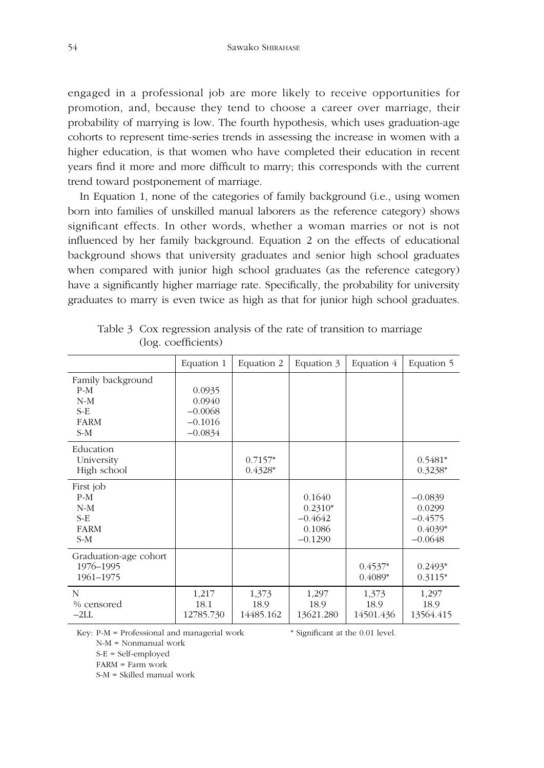engaged in a professional job are more likely to receive opportunities for promotion, and, because they tend to choose a career over marriage, their probability of marrying is low. The fourth hypothesis, which uses graduation-age cohorts to represent time-series trends in assessing the increase in women with a higher education, is that women who have completed their education in recent years find it more and more difficult to marry; this corresponds with the current trend toward postponement of marriage.

In Equation 1, none of the categories of family background (i.e., using women born into families of unskilled manual laborers as the reference category) shows significant effects. In other words, whether a woman marries or not is not influenced by her family background. Equation 2 on the effects of educational background shows that university graduates and senior high school graduates when compared with junior high school graduates (as the reference category) have a significantly higher marriage rate. Specifically, the probability for university graduates to marry is even twice as high as that for junior high school graduates.

|                                                                      | Equation 1                                              | Equation 2                 | Equation 3                                              | Equation 4                 | Equation 5                                                 |
|----------------------------------------------------------------------|---------------------------------------------------------|----------------------------|---------------------------------------------------------|----------------------------|------------------------------------------------------------|
| Family background<br>$P-M$<br>$N-M$<br>$S-E$<br><b>FARM</b><br>$S-M$ | 0.0935<br>0.0940<br>$-0.0068$<br>$-0.1016$<br>$-0.0834$ |                            |                                                         |                            |                                                            |
| Education<br>University<br>High school                               |                                                         | $0.7157*$<br>$0.4328*$     |                                                         |                            | $0.5481*$<br>$0.3238*$                                     |
| First job<br>$P-M$<br>$N-M$<br>$S-E$<br><b>FARM</b><br>$S-M$         |                                                         |                            | 0.1640<br>$0.2310*$<br>$-0.4642$<br>0.1086<br>$-0.1290$ |                            | $-0.0839$<br>0.0299<br>$-0.4575$<br>$0.4039*$<br>$-0.0648$ |
| Graduation-age cohort<br>1976-1995<br>1961-1975                      |                                                         |                            |                                                         | $0.4537*$<br>$0.4089*$     | $0.2493*$<br>$0.3115*$                                     |
| N<br>% censored<br>$-2LL$                                            | 1,217<br>18.1<br>12785.730                              | 1,373<br>18.9<br>14485.162 | 1,297<br>18.9<br>13621.280                              | 1,373<br>18.9<br>14501.436 | 1,297<br>18.9<br>13564.415                                 |

\* Significant at the 0.01 level.

Table 3 Cox regression analysis of the rate of transition to marriage (log. coefficients)

Key: P-M = Professional and managerial work

N-M = Nonmanual work

S-E = Self-employed

FARM = Farm work

S-M = Skilled manual work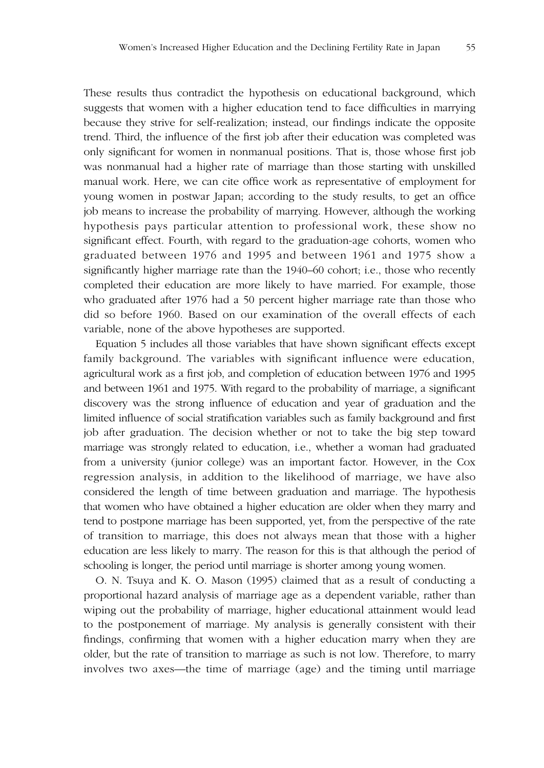These results thus contradict the hypothesis on educational background, which suggests that women with a higher education tend to face difficulties in marrying because they strive for self-realization; instead, our findings indicate the opposite trend. Third, the influence of the first job after their education was completed was only significant for women in nonmanual positions. That is, those whose first job was nonmanual had a higher rate of marriage than those starting with unskilled manual work. Here, we can cite office work as representative of employment for young women in postwar Japan; according to the study results, to get an office job means to increase the probability of marrying. However, although the working hypothesis pays particular attention to professional work, these show no significant effect. Fourth, with regard to the graduation-age cohorts, women who graduated between 1976 and 1995 and between 1961 and 1975 show a significantly higher marriage rate than the 1940–60 cohort; i.e., those who recently completed their education are more likely to have married. For example, those who graduated after 1976 had a 50 percent higher marriage rate than those who did so before 1960. Based on our examination of the overall effects of each variable, none of the above hypotheses are supported.

Equation 5 includes all those variables that have shown significant effects except family background. The variables with significant influence were education, agricultural work as a first job, and completion of education between 1976 and 1995 and between 1961 and 1975. With regard to the probability of marriage, a significant discovery was the strong influence of education and year of graduation and the limited influence of social stratification variables such as family background and first job after graduation. The decision whether or not to take the big step toward marriage was strongly related to education, i.e., whether a woman had graduated from a university (junior college) was an important factor. However, in the Cox regression analysis, in addition to the likelihood of marriage, we have also considered the length of time between graduation and marriage. The hypothesis that women who have obtained a higher education are older when they marry and tend to postpone marriage has been supported, yet, from the perspective of the rate of transition to marriage, this does not always mean that those with a higher education are less likely to marry. The reason for this is that although the period of schooling is longer, the period until marriage is shorter among young women.

O. N. Tsuya and K. O. Mason (1995) claimed that as a result of conducting a proportional hazard analysis of marriage age as a dependent variable, rather than wiping out the probability of marriage, higher educational attainment would lead to the postponement of marriage. My analysis is generally consistent with their findings, confirming that women with a higher education marry when they are older, but the rate of transition to marriage as such is not low. Therefore, to marry involves two axes—the time of marriage (age) and the timing until marriage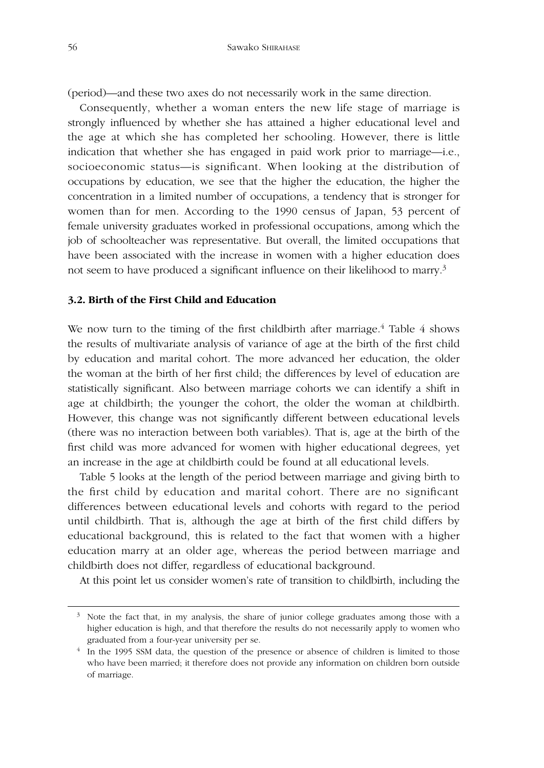(period)—and these two axes do not necessarily work in the same direction.

Consequently, whether a woman enters the new life stage of marriage is strongly influenced by whether she has attained a higher educational level and the age at which she has completed her schooling. However, there is little indication that whether she has engaged in paid work prior to marriage—i.e., socioeconomic status—is significant. When looking at the distribution of occupations by education, we see that the higher the education, the higher the concentration in a limited number of occupations, a tendency that is stronger for women than for men. According to the 1990 census of Japan, 53 percent of female university graduates worked in professional occupations, among which the job of schoolteacher was representative. But overall, the limited occupations that have been associated with the increase in women with a higher education does not seem to have produced a significant influence on their likelihood to marry.3

#### **3.2. Birth of the First Child and Education**

We now turn to the timing of the first childbirth after marriage.<sup>4</sup> Table 4 shows the results of multivariate analysis of variance of age at the birth of the first child by education and marital cohort. The more advanced her education, the older the woman at the birth of her first child; the differences by level of education are statistically significant. Also between marriage cohorts we can identify a shift in age at childbirth; the younger the cohort, the older the woman at childbirth. However, this change was not significantly different between educational levels (there was no interaction between both variables). That is, age at the birth of the first child was more advanced for women with higher educational degrees, yet an increase in the age at childbirth could be found at all educational levels.

Table 5 looks at the length of the period between marriage and giving birth to the first child by education and marital cohort. There are no significant differences between educational levels and cohorts with regard to the period until childbirth. That is, although the age at birth of the first child differs by educational background, this is related to the fact that women with a higher education marry at an older age, whereas the period between marriage and childbirth does not differ, regardless of educational background.

At this point let us consider women's rate of transition to childbirth, including the

 $3\overline{ }$  Note the fact that, in my analysis, the share of junior college graduates among those with a higher education is high, and that therefore the results do not necessarily apply to women who graduated from a four-year university per se.

<sup>&</sup>lt;sup>4</sup> In the 1995 SSM data, the question of the presence or absence of children is limited to those who have been married; it therefore does not provide any information on children born outside of marriage.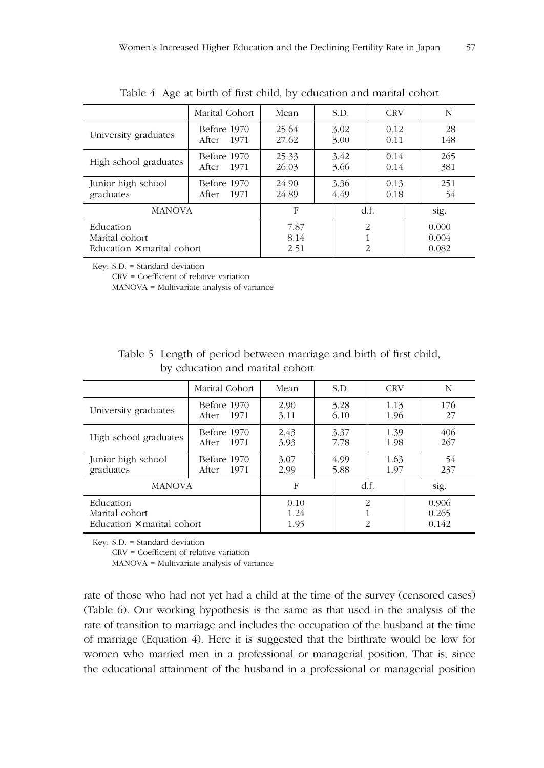|                                                                  | Marital Cohort            | Mean                 | S.D.         | <b>CRV</b>                                        | N                       |  |
|------------------------------------------------------------------|---------------------------|----------------------|--------------|---------------------------------------------------|-------------------------|--|
| University graduates                                             | Before 1970<br>After 1971 | 25.64<br>27.62       | 3.02<br>3.00 | 0.12<br>0.11                                      | 28<br>148               |  |
| High school graduates                                            | Before 1970<br>After 1971 | 25.33<br>26.03       | 3.42<br>3.66 | 0.14<br>0.14                                      | 265<br>381              |  |
| Junior high school<br>graduates                                  | Before 1970<br>After 1971 | 24.90<br>24.89       | 3.36<br>4.49 | 0.13<br>0.18                                      | 251<br>54               |  |
| <b>MANOVA</b>                                                    |                           | F                    |              | df.                                               | sig.                    |  |
| Education<br>Marital cohort<br>Education $\times$ marital cohort |                           | 7.87<br>8.14<br>2.51 |              | $\mathcal{D}_{\mathcal{A}}$<br>1<br>$\mathcal{P}$ | 0.000<br>0.004<br>0.082 |  |

Table 4 Age at birth of first child, by education and marital cohort

Key: S.D. = Standard deviation

CRV = Coefficient of relative variation

MANOVA = Multivariate analysis of variance

| Table 5 Length of period between marriage and birth of first child, |
|---------------------------------------------------------------------|
| by education and marital cohort                                     |

|                                                                  | Marital Cohort                 | Mean                 | S.D.         | <b>CRV</b>                           | N                       |
|------------------------------------------------------------------|--------------------------------|----------------------|--------------|--------------------------------------|-------------------------|
| University graduates                                             | Before 1970<br>1971<br>After   | 2.90<br>3.11         | 3.28<br>6.10 | 1.13<br>1.96                         | 176<br>27               |
| High school graduates                                            | Before 1970<br>After 1971      | 2.43<br>3.93         | 3.37<br>7.78 | 1.39<br>1.98                         | 406<br>267              |
| Junior high school<br>graduates                                  | Before 1970<br>- 1971<br>After | 3.07<br>2.99         | 4.99<br>5.88 | 1.63<br>1.97                         | 54<br>237               |
| <b>MANOVA</b>                                                    |                                | F                    |              | df.                                  | sig.                    |
| Education<br>Marital cohort<br>Education $\times$ marital cohort |                                | 0.10<br>1.24<br>1.95 |              | $\mathcal{P}$<br>1<br>$\overline{2}$ | 0.906<br>0.265<br>0.142 |

Key: S.D. = Standard deviation

CRV = Coefficient of relative variation

MANOVA = Multivariate analysis of variance

rate of those who had not yet had a child at the time of the survey (censored cases) (Table 6). Our working hypothesis is the same as that used in the analysis of the rate of transition to marriage and includes the occupation of the husband at the time of marriage (Equation 4). Here it is suggested that the birthrate would be low for women who married men in a professional or managerial position. That is, since the educational attainment of the husband in a professional or managerial position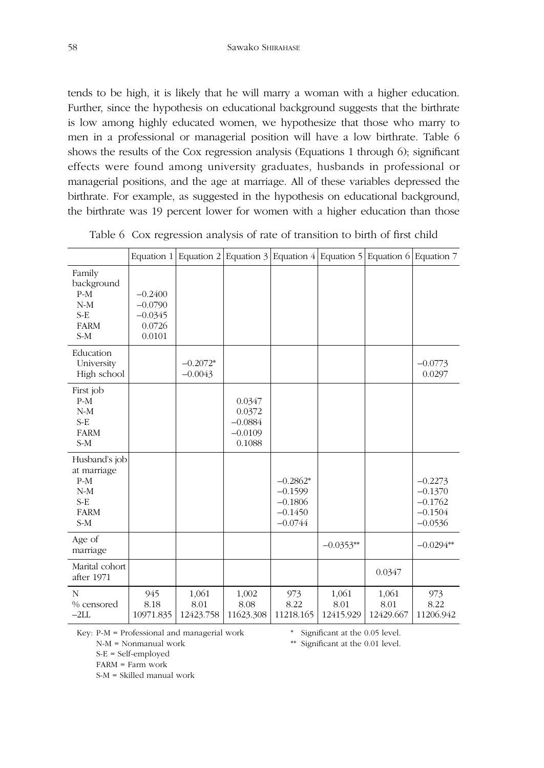tends to be high, it is likely that he will marry a woman with a higher education. Further, since the hypothesis on educational background suggests that the birthrate is low among highly educated women, we hypothesize that those who marry to men in a professional or managerial position will have a low birthrate. Table 6 shows the results of the Cox regression analysis (Equations 1 through 6); significant effects were found among university graduates, husbands in professional or managerial positions, and the age at marriage. All of these variables depressed the birthrate. For example, as suggested in the hypothesis on educational background, the birthrate was 19 percent lower for women with a higher education than those

|                                                                                 |                                                         | Equation 1 Equation 2 Equation 3 Equation 4 Equation 5 Equation 6 Equation 7 |                                                      |                                                                |                            |                            |                                                               |
|---------------------------------------------------------------------------------|---------------------------------------------------------|------------------------------------------------------------------------------|------------------------------------------------------|----------------------------------------------------------------|----------------------------|----------------------------|---------------------------------------------------------------|
| Family<br>background<br>$P-M$<br>$N-M$<br>$S-E$<br><b>FARM</b><br>$S-M$         | $-0.2400$<br>$-0.0790$<br>$-0.0345$<br>0.0726<br>0.0101 |                                                                              |                                                      |                                                                |                            |                            |                                                               |
| Education<br>University<br>High school                                          |                                                         | $-0.2072*$<br>$-0.0043$                                                      |                                                      |                                                                |                            |                            | $-0.0773$<br>0.0297                                           |
| First job<br>$P-M$<br>$N-M$<br>$S-E$<br><b>FARM</b><br>$S-M$                    |                                                         |                                                                              | 0.0347<br>0.0372<br>$-0.0884$<br>$-0.0109$<br>0.1088 |                                                                |                            |                            |                                                               |
| Husband's job<br>at marriage<br>$P-M$<br>$N-M$<br>$S-E$<br><b>FARM</b><br>$S-M$ |                                                         |                                                                              |                                                      | $-0.2862*$<br>$-0.1599$<br>$-0.1806$<br>$-0.1450$<br>$-0.0744$ |                            |                            | $-0.2273$<br>$-0.1370$<br>$-0.1762$<br>$-0.1504$<br>$-0.0536$ |
| Age of<br>marriage                                                              |                                                         |                                                                              |                                                      |                                                                | $-0.0353**$                |                            | $-0.0294**$                                                   |
| Marital cohort<br>after 1971                                                    |                                                         |                                                                              |                                                      |                                                                |                            | 0.0347                     |                                                               |
| N<br>% censored<br>$-2LL$                                                       | 945<br>8.18<br>10971.835                                | 1,061<br>8.01<br>12423.758                                                   | 1,002<br>8.08<br>11623.308                           | 973<br>8.22<br>11218.165                                       | 1,061<br>8.01<br>12415.929 | 1,061<br>8.01<br>12429.667 | 973<br>8.22<br>11206.942                                      |

Table 6 Cox regression analysis of rate of transition to birth of first child

Key: P-M = Professional and managerial work

N-M = Nonmanual work

S-E = Self-employed

FARM = Farm work

S-M = Skilled manual work

\* Significant at the 0.05 level.

\*\* Significant at the 0.01 level.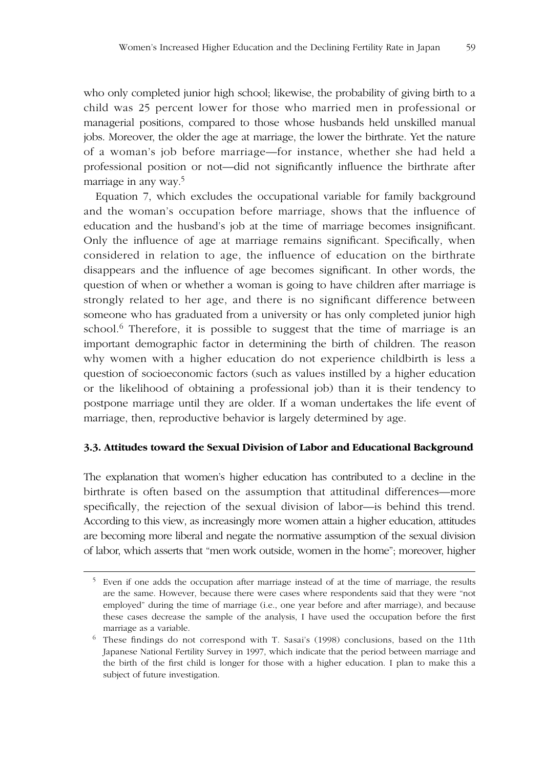who only completed junior high school; likewise, the probability of giving birth to a child was 25 percent lower for those who married men in professional or managerial positions, compared to those whose husbands held unskilled manual jobs. Moreover, the older the age at marriage, the lower the birthrate. Yet the nature of a woman's job before marriage—for instance, whether she had held a professional position or not—did not significantly influence the birthrate after marriage in any way.5

Equation 7, which excludes the occupational variable for family background and the woman's occupation before marriage, shows that the influence of education and the husband's job at the time of marriage becomes insignificant. Only the influence of age at marriage remains significant. Specifically, when considered in relation to age, the influence of education on the birthrate disappears and the influence of age becomes significant. In other words, the question of when or whether a woman is going to have children after marriage is strongly related to her age, and there is no significant difference between someone who has graduated from a university or has only completed junior high school.<sup>6</sup> Therefore, it is possible to suggest that the time of marriage is an important demographic factor in determining the birth of children. The reason why women with a higher education do not experience childbirth is less a question of socioeconomic factors (such as values instilled by a higher education or the likelihood of obtaining a professional job) than it is their tendency to postpone marriage until they are older. If a woman undertakes the life event of marriage, then, reproductive behavior is largely determined by age.

### **3.3. Attitudes toward the Sexual Division of Labor and Educational Background**

The explanation that women's higher education has contributed to a decline in the birthrate is often based on the assumption that attitudinal differences—more specifically, the rejection of the sexual division of labor—is behind this trend. According to this view, as increasingly more women attain a higher education, attitudes are becoming more liberal and negate the normative assumption of the sexual division of labor, which asserts that "men work outside, women in the home"; moreover, higher

<sup>&</sup>lt;sup>5</sup> Even if one adds the occupation after marriage instead of at the time of marriage, the results are the same. However, because there were cases where respondents said that they were "not employed" during the time of marriage (i.e., one year before and after marriage), and because these cases decrease the sample of the analysis, I have used the occupation before the first marriage as a variable.

<sup>6</sup> These findings do not correspond with T. Sasai's (1998) conclusions, based on the 11th Japanese National Fertility Survey in 1997, which indicate that the period between marriage and the birth of the first child is longer for those with a higher education. I plan to make this a subject of future investigation.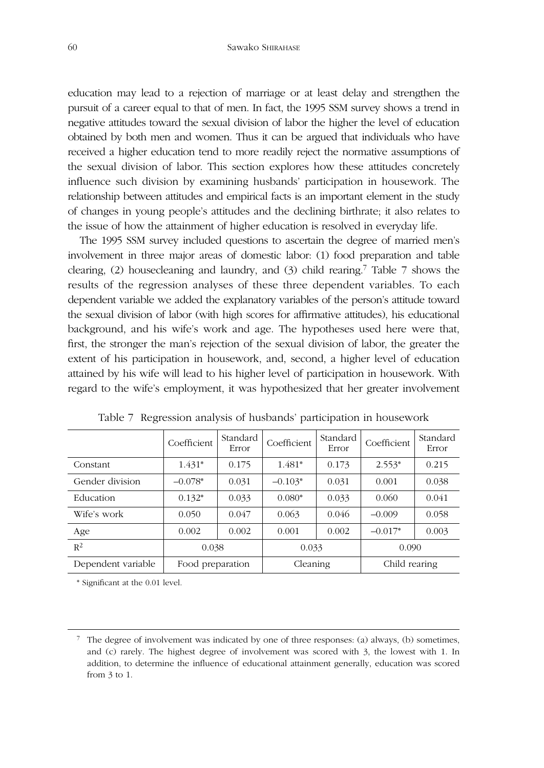education may lead to a rejection of marriage or at least delay and strengthen the pursuit of a career equal to that of men. In fact, the 1995 SSM survey shows a trend in negative attitudes toward the sexual division of labor the higher the level of education obtained by both men and women. Thus it can be argued that individuals who have received a higher education tend to more readily reject the normative assumptions of the sexual division of labor. This section explores how these attitudes concretely influence such division by examining husbands' participation in housework. The relationship between attitudes and empirical facts is an important element in the study of changes in young people's attitudes and the declining birthrate; it also relates to the issue of how the attainment of higher education is resolved in everyday life.

The 1995 SSM survey included questions to ascertain the degree of married men's involvement in three major areas of domestic labor: (1) food preparation and table clearing, (2) housecleaning and laundry, and (3) child rearing.7 Table 7 shows the results of the regression analyses of these three dependent variables. To each dependent variable we added the explanatory variables of the person's attitude toward the sexual division of labor (with high scores for affirmative attitudes), his educational background, and his wife's work and age. The hypotheses used here were that, first, the stronger the man's rejection of the sexual division of labor, the greater the extent of his participation in housework, and, second, a higher level of education attained by his wife will lead to his higher level of participation in housework. With regard to the wife's employment, it was hypothesized that her greater involvement

|                    | Coefficient      | Standard<br>Error | Coefficient | Standard<br>Error         | Coefficient | Standard<br>Error |
|--------------------|------------------|-------------------|-------------|---------------------------|-------------|-------------------|
| Constant           | $1.431*$         | 0.175             | 1.481*      | 0.173                     | $2.553*$    | 0.215             |
| Gender division    | $-0.078*$        | 0.031             | $-0.103*$   | 0.031                     | 0.001       | 0.038             |
| Education          | $0.132*$         | 0.033             | $0.080*$    | 0.033                     | 0.060       | 0.041             |
| Wife's work        | 0.050            | 0.047             | 0.063       | 0.046                     | $-0.009$    | 0.058             |
| Age                | 0.002            | 0.002             | 0.001       | 0.002                     | $-0.017*$   | 0.003             |
| $R^2$              | 0.038            |                   | 0.033       |                           | 0.090       |                   |
| Dependent variable | Food preparation |                   |             | Child rearing<br>Cleaning |             |                   |

Table 7 Regression analysis of husbands' participation in housework

\* Significant at the 0.01 level.

 $\frac{7}{1}$  The degree of involvement was indicated by one of three responses: (a) always, (b) sometimes, and (c) rarely. The highest degree of involvement was scored with 3, the lowest with 1. In addition, to determine the influence of educational attainment generally, education was scored from 3 to 1.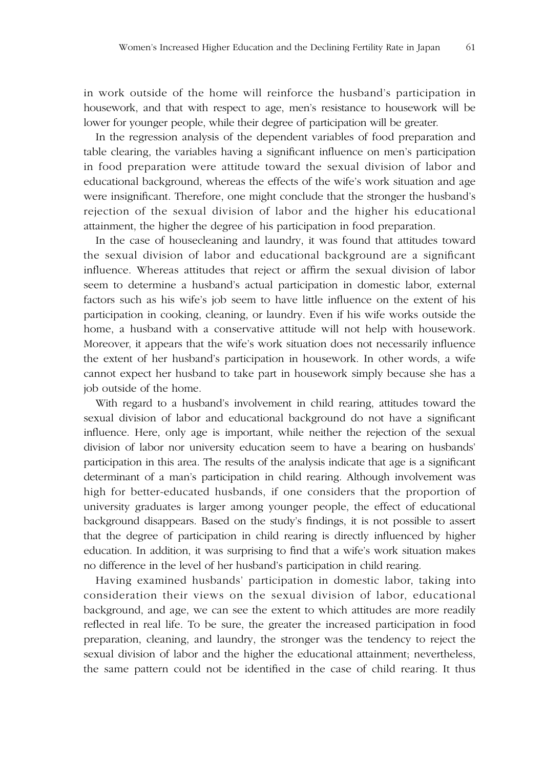in work outside of the home will reinforce the husband's participation in housework, and that with respect to age, men's resistance to housework will be lower for younger people, while their degree of participation will be greater.

In the regression analysis of the dependent variables of food preparation and table clearing, the variables having a significant influence on men's participation in food preparation were attitude toward the sexual division of labor and educational background, whereas the effects of the wife's work situation and age were insignificant. Therefore, one might conclude that the stronger the husband's rejection of the sexual division of labor and the higher his educational attainment, the higher the degree of his participation in food preparation.

In the case of housecleaning and laundry, it was found that attitudes toward the sexual division of labor and educational background are a significant influence. Whereas attitudes that reject or affirm the sexual division of labor seem to determine a husband's actual participation in domestic labor, external factors such as his wife's job seem to have little influence on the extent of his participation in cooking, cleaning, or laundry. Even if his wife works outside the home, a husband with a conservative attitude will not help with housework. Moreover, it appears that the wife's work situation does not necessarily influence the extent of her husband's participation in housework. In other words, a wife cannot expect her husband to take part in housework simply because she has a job outside of the home.

With regard to a husband's involvement in child rearing, attitudes toward the sexual division of labor and educational background do not have a significant influence. Here, only age is important, while neither the rejection of the sexual division of labor nor university education seem to have a bearing on husbands' participation in this area. The results of the analysis indicate that age is a significant determinant of a man's participation in child rearing. Although involvement was high for better-educated husbands, if one considers that the proportion of university graduates is larger among younger people, the effect of educational background disappears. Based on the study's findings, it is not possible to assert that the degree of participation in child rearing is directly influenced by higher education. In addition, it was surprising to find that a wife's work situation makes no difference in the level of her husband's participation in child rearing.

Having examined husbands' participation in domestic labor, taking into consideration their views on the sexual division of labor, educational background, and age, we can see the extent to which attitudes are more readily reflected in real life. To be sure, the greater the increased participation in food preparation, cleaning, and laundry, the stronger was the tendency to reject the sexual division of labor and the higher the educational attainment; nevertheless, the same pattern could not be identified in the case of child rearing. It thus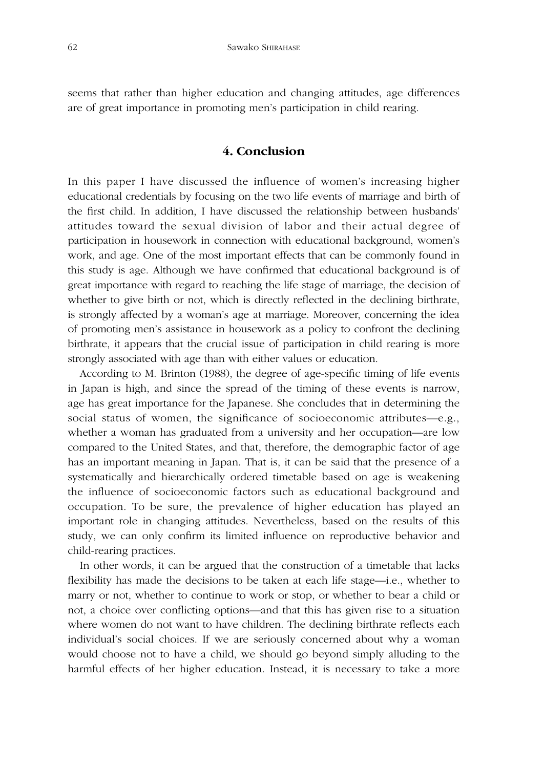seems that rather than higher education and changing attitudes, age differences are of great importance in promoting men's participation in child rearing.

## **4. Conclusion**

In this paper I have discussed the influence of women's increasing higher educational credentials by focusing on the two life events of marriage and birth of the first child. In addition, I have discussed the relationship between husbands' attitudes toward the sexual division of labor and their actual degree of participation in housework in connection with educational background, women's work, and age. One of the most important effects that can be commonly found in this study is age. Although we have confirmed that educational background is of great importance with regard to reaching the life stage of marriage, the decision of whether to give birth or not, which is directly reflected in the declining birthrate, is strongly affected by a woman's age at marriage. Moreover, concerning the idea of promoting men's assistance in housework as a policy to confront the declining birthrate, it appears that the crucial issue of participation in child rearing is more strongly associated with age than with either values or education.

According to M. Brinton (1988), the degree of age-specific timing of life events in Japan is high, and since the spread of the timing of these events is narrow, age has great importance for the Japanese. She concludes that in determining the social status of women, the significance of socioeconomic attributes—e.g., whether a woman has graduated from a university and her occupation—are low compared to the United States, and that, therefore, the demographic factor of age has an important meaning in Japan. That is, it can be said that the presence of a systematically and hierarchically ordered timetable based on age is weakening the influence of socioeconomic factors such as educational background and occupation. To be sure, the prevalence of higher education has played an important role in changing attitudes. Nevertheless, based on the results of this study, we can only confirm its limited influence on reproductive behavior and child-rearing practices.

In other words, it can be argued that the construction of a timetable that lacks flexibility has made the decisions to be taken at each life stage—i.e., whether to marry or not, whether to continue to work or stop, or whether to bear a child or not, a choice over conflicting options—and that this has given rise to a situation where women do not want to have children. The declining birthrate reflects each individual's social choices. If we are seriously concerned about why a woman would choose not to have a child, we should go beyond simply alluding to the harmful effects of her higher education. Instead, it is necessary to take a more